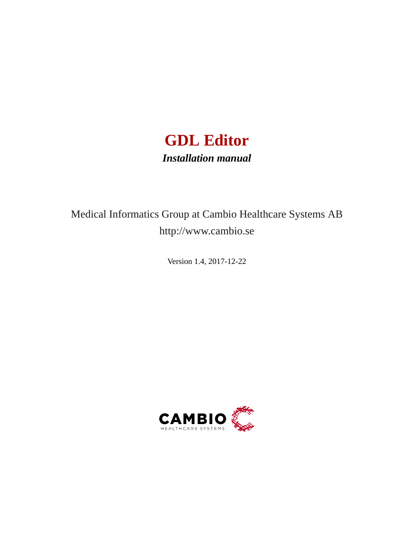

# Medical Informatics Group at Cambio Healthcare Systems AB http://www.cambio.se

Version 1.4, 2017-12-22

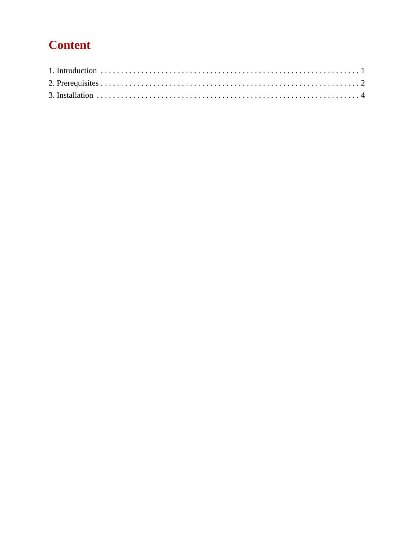# **Content**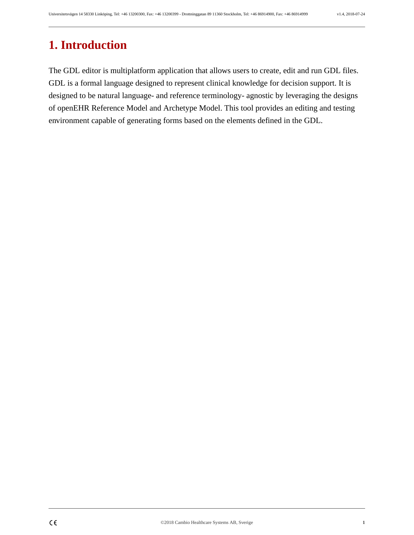#### <span id="page-2-0"></span>**1. Introduction**

The GDL editor is multiplatform application that allows users to create, edit and run GDL files. GDL is a formal language designed to represent clinical knowledge for decision support. It is designed to be natural language- and reference terminology- agnostic by leveraging the designs of openEHR Reference Model and Archetype Model. This tool provides an editing and testing environment capable of generating forms based on the elements defined in the GDL.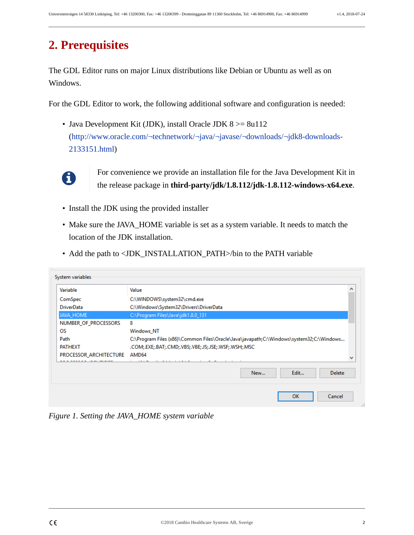### <span id="page-3-0"></span>**2. Prerequisites**

The GDL Editor runs on major Linux distributions like Debian or Ubuntu as well as on Windows.

For the GDL Editor to work, the following additional software and configuration is needed:

• Java Development Kit (JDK), install Oracle JDK  $8 \ge 8$ u112 ([http://www.oracle.com/¬technetwork/¬java/¬javase/¬downloads/¬jdk8-downloads-](http://www.oracle.com/technetwork/java/javase/downloads/jdk8-downloads-2133151.html)[2133151.html](http://www.oracle.com/technetwork/java/javase/downloads/jdk8-downloads-2133151.html))



For convenience we provide an installation file for the Java Development Kit in the release package in **third-party/jdk/1.8.112/jdk-1.8.112-windows-x64.exe**.

- Install the JDK using the provided installer
- Make sure the JAVA\_HOME variable is set as a system variable. It needs to match the location of the JDK installation.
- Add the path to <JDK\_INSTALLATION\_PATH>/bin to the PATH variable

| Variable                     | Value                                                                                   |
|------------------------------|-----------------------------------------------------------------------------------------|
| ComSpec                      | C:\WINDOWS\system32\cmd.exe                                                             |
| <b>DriverData</b>            | C:\Windows\System32\Drivers\DriverData                                                  |
| <b>JAVA HOME</b>             | C:\Program Files\Java\jdk1.8.0_131                                                      |
| NUMBER OF PROCESSORS         | 8                                                                                       |
| <b>OS</b>                    | <b>Windows NT</b>                                                                       |
| Path                         | C:\Program Files (x86)\Common Files\Oracle\Java\javapath;C:\Windows\system32;C:\Windows |
| <b>PATHEXT</b>               | .COM;.EXE;.BAT;.CMD;.VBS;.VBE;.JS;.JSE;.WSF;.WSH;.MSC                                   |
| PROCESSOR_ARCHITECTURE AMD64 | .<br>.                                                                                  |
|                              |                                                                                         |

*Figure 1. Setting the JAVA\_HOME system variable*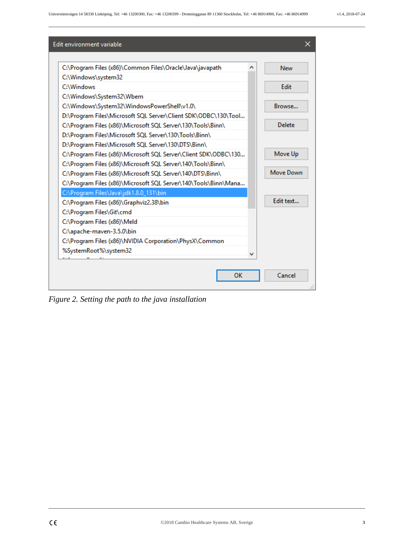| Edit environment variable                                       | ×               |
|-----------------------------------------------------------------|-----------------|
|                                                                 |                 |
| C:\Program Files (x86)\Common Files\Oracle\Java\javapath        | <b>New</b><br>∧ |
| C:\Windows\system32                                             |                 |
| C:\Windows                                                      | Edit            |
| C:\Windows\System32\Wbem                                        |                 |
| C:\Windows\System32\WindowsPowerShell\v1.0\                     | Browse          |
| D:\Program Files\Microsoft SQL Server\Client SDK\ODBC\130\Tool  |                 |
| C:\Program Files (x86)\Microsoft SQL Server\130\Tools\Binn\     | Delete          |
| D:\Program Files\Microsoft SQL Server\130\Tools\Binn\           |                 |
| D:\Program Files\Microsoft SQL Server\130\DTS\Binn\             |                 |
| C:\Program Files (x86)\Microsoft SQL Server\Client SDK\ODBC\130 | Move Up         |
| C:\Program Files (x86)\Microsoft SQL Server\140\Tools\Binn\     |                 |
| C:\Program Files (x86)\Microsoft SQL Server\140\DTS\Binn\       | Move Down       |
| C:\Program Files (x86)\Microsoft SQL Server\140\Tools\Binn\Mana |                 |
| C:\Program Files\Java\jdk1.8.0_131\bin                          |                 |
| C:\Program Files (x86)\Graphviz2.38\bin                         | Edit text       |
| C:\Program Files\Git\cmd                                        |                 |
| C:\Program Files (x86)\Meld                                     |                 |
| C:\apache-maven-3.5.0\bin                                       |                 |
| C:\Program Files (x86)\NVIDIA Corporation\PhysX\Common          |                 |
| %SystemRoot%\system32                                           | v               |
|                                                                 |                 |
|                                                                 | Cancel          |
| OK                                                              |                 |
|                                                                 |                 |

*Figure 2. Setting the path to the java installation*